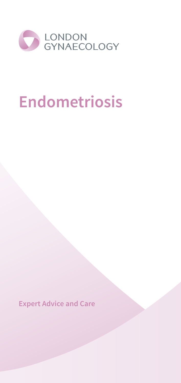

# **Endometriosis**

**Expert Advice and Care**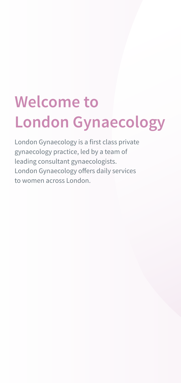# **Welcome to London Gynaecology**

London Gynaecology is a first class private gynaecology practice, led by a team of leading consultant gynaecologists. London Gynaecology offers daily services to women across London.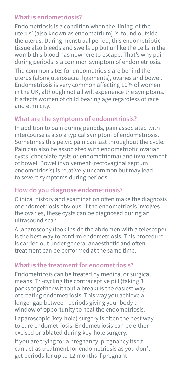#### **What is endometriosis?**

Endometriosis is a condition when the 'lining of the uterus' (also known as endometrium) is found outside the uterus. During menstrual period, this endometriotic tissue also bleeds and swells up but unlike the cells in the womb this blood has nowhere to escape. That's why pain during periods is a common symptom of endometriosis.

The common sites for endometriosis are behind the uterus (along uterosacral ligaments), ovaries and bowel. Endometriosis is very common affecting 10% of women in the UK, although not all will experience the symptoms. It affects women of child bearing age regardless of race and ethnicity.

# **What are the symptoms of endometriosis?**

In addition to pain during periods, pain associated with intercourse is also a typical symptom of endometriosis. Sometimes this pelvic pain can last throughout the cycle. Pain can also be associated with endometriotic ovarian cysts (chocolate cysts or endometrioma) and involvement of bowel. Bowel involvement (rectovaginal septum endometriosis) is relatively uncommon but may lead to severe symptoms during periods.

# **How do you diagnose endometriosis?**

Clinical history and examination often make the diagnosis of endometriosis obvious. If the endometriosis involves the ovaries, these cysts can be diagnosed during an ultrasound scan.

A laparoscopy (look inside the abdomen with a telescope) is the best way to confirm endometriosis. This procedure is carried out under general anaesthetic and often treatment can be performed at the same time.

# **What is the treatment for endometriosis?**

Endometriosis can be treated by medical or surgical means. Tri-cycling the contraceptive pill (taking 3 packs together without a break) is the easiest way of treating endometriosis. This way you achieve a longer gap between periods giving your body a window of opportunity to heal the endometriosis.

Laparoscopic (key-hole) surgery is often the best way to cure endometriosis. Endometriosis can be either excised or ablated during key-hole surgery.

If you are trying for a pregnancy, pregnancy itself can act as treatment for endometriosis as you don't get periods for up to 12 months if pregnant!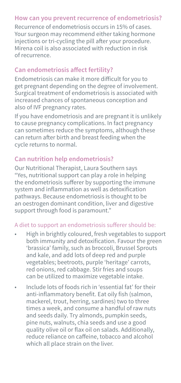### **How can you prevent recurrence of endometriosis?**

Recurrence of endometriosis occurs in 15% of cases. Your surgeon may recommend either taking hormone injections or tri-cycling the pill after your procedure. Mirena coil is also associated with reduction in risk of recurrence.

# **Can endometriosis affect fertility?**

Endometriosis can make it more difficult for you to get pregnant depending on the degree of involvement. Surgical treatment of endometriosis is associated with increased chances of spontaneous conception and also of IVF pregnancy rates.

If you have endometriosis and are pregnant it is unlikely to cause pregnancy complications. In fact pregnancy can sometimes reduce the symptoms, although these can return after birth and breast feeding when the cycle returns to normal.

### **Can nutrition help endometriosis?**

Our Nutritional Therapist, Laura Southern says "Yes, nutritional support can play a role in helping the endometriosis sufferer by supporting the immune system and inflammation as well as detoxification pathways. Because endometriosis is thought to be an oestrogen dominant condition, liver and digestive support through food is paramount."

#### A diet to support an endometriosis sufferer should be:

- High in brightly coloured, fresh vegetables to support both immunity and detoxification. Favour the green 'brassica' family, such as broccoli, Brussel Sprouts and kale, and add lots of deep red and purple vegetables; beetroots, purple 'heritage' carrots, red onions, red cabbage. Stir fries and soups can be utilized to maximize vegetable intake.
- Include lots of foods rich in 'essential fat' for their anti-inflammatory benefit. Eat oily fish (salmon, mackerel, trout, herring, sardines) two to three times a week, and consume a handful of raw nuts and seeds daily. Try almonds, pumpkin seeds, pine nuts, walnuts, chia seeds and use a good quality olive oil or flax oil on salads. Additionally, reduce reliance on caffeine, tobacco and alcohol which all place strain on the liver.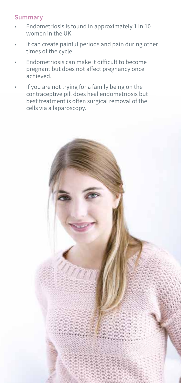### **Summary**

- Endometriosis is found in approximately 1 in 10 women in the UK.
- It can create painful periods and pain during other times of the cycle.
- Endometriosis can make it difficult to become pregnant but does not affect pregnancy once achieved.
- If you are not trying for a family being on the contraceptive pill does heal endometriosis but best treatment is often surgical removal of the cells via a laparoscopy.